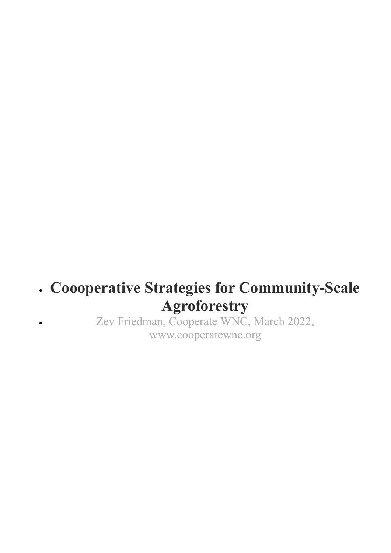#### **Coooperative Strategies for Community-Scale Agroforestry**

Zev Friedman, Cooperate WNC, March 2022, www.cooperatewnc.org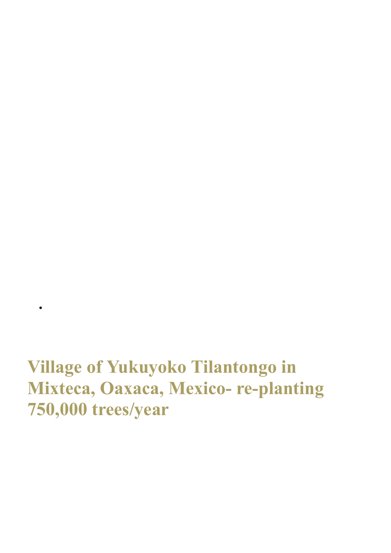**Village of Yukuyoko Tilantongo in Mixteca, Oaxaca, Mexico- re-planting 750,000 trees/year**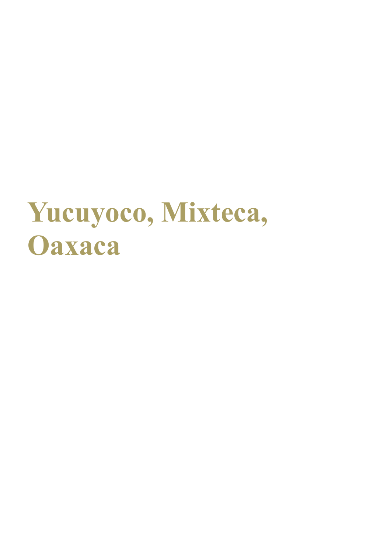### **Yucuyoco, Mixteca, Oaxaca**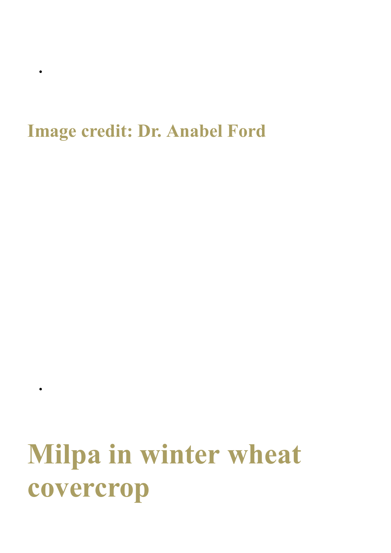## **Milpa in winter wheat covercrop**

**Image credit: Dr. Anabel Ford**

 $\bullet$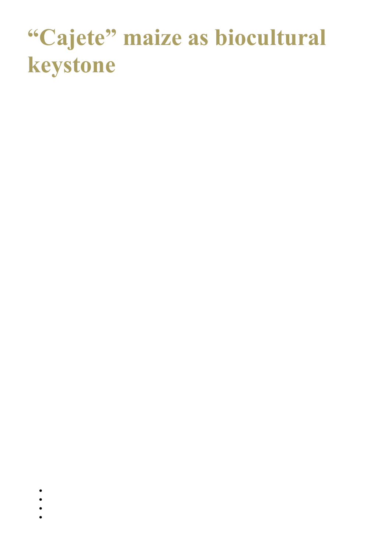#### **"Cajete" maize as biocultural keystone**

- 
- 
- 
- - -
	- -
	-
	-
- $\ddot{\bullet}$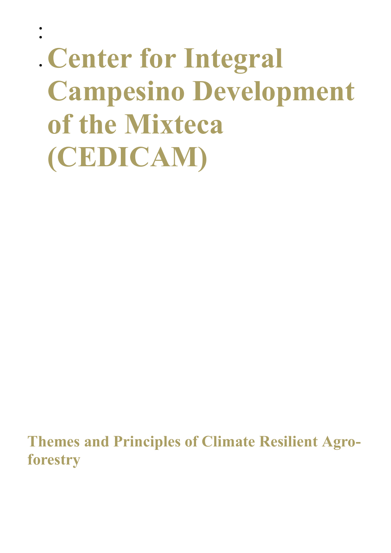**Center for Integral Campesino Development of the Mixteca (CEDICAM)**

**Themes and Principles of Climate Resilient Agroforestry**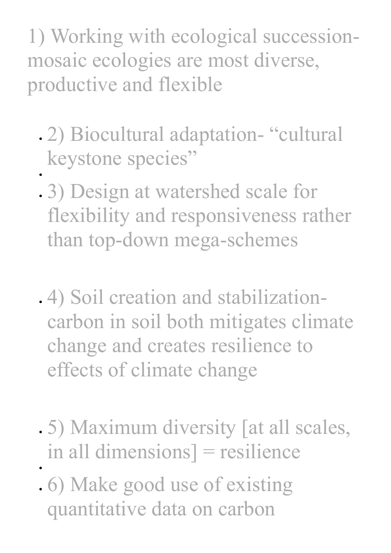1) Working with ecological successionmosaic ecologies are most diverse, productive and flexible

- 2) Biocultural adaptation- "cultural keystone species"
- 3) Design at watershed scale for flexibility and responsiveness rather than top-down mega-schemes
- 4) Soil creation and stabilizationcarbon in soil both mitigates climate change and creates resilience to effects of climate change
- 5) Maximum diversity [at all scales, in all dimensions] = resilience
- 6) Make good use of existing quantitative data on carbon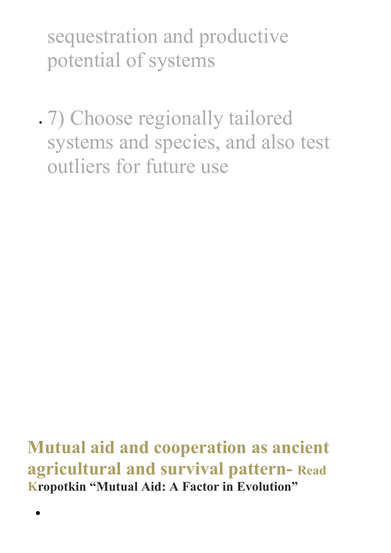sequestration and productive potential of systems

7) Choose regionally tailored systems and species, and also test outliers for future use

**Mutual aid and cooperation as ancient agricultural and survival pattern- Read Kropotkin "Mutual Aid: A Factor in Evolution"**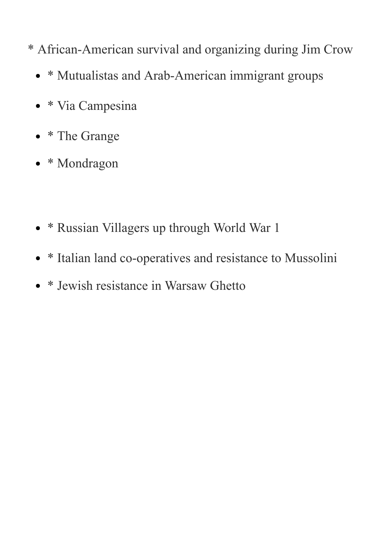- \* African-American survival and organizing during Jim Crow
	- \* Mutualistas and Arab-American immigrant groups
	- \* Via Campesina
	- \* The Grange
	- \* Mondragon
	- \* Russian Villagers up through World War 1
	- \* Italian land co-operatives and resistance to Mussolini
	- \* Jewish resistance in Warsaw Ghetto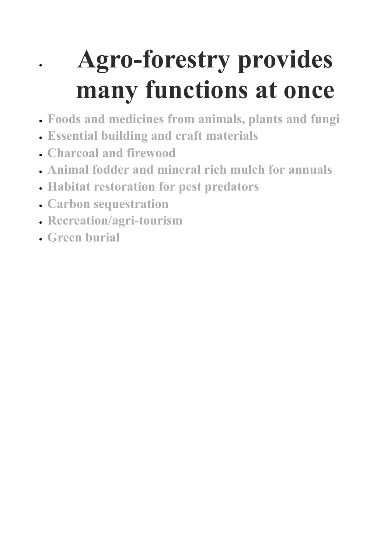## **Agro-forestry provides many functions at once**

- **Foods and medicines from animals, plants and fungi**
- **Essential building and craft materials**
- **Charcoal and firewood**
- **Animal fodder and mineral rich mulch for annuals**
- **Habitat restoration for pest predators**
- **Carbon sequestration**
- **Recreation/agri-tourism**
- **Green burial**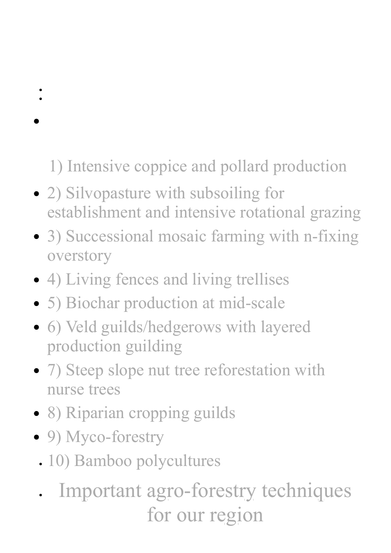#### 1) Intensive coppice and pollard production

- 2) Silvopasture with subsoiling for establishment and intensive rotational grazing
- 3) Successional mosaic farming with n-fixing overstory
- 4) Living fences and living trellises
- 5) Biochar production at mid-scale
- 6) Veld guilds/hedgerows with layered production guilding
- 7) Steep slope nut tree reforestation with nurse trees
- 8) Riparian cropping guilds
- 9) Myco-forestry
	- 10) Bamboo polycultures
- Important agro-forestry techniques for our region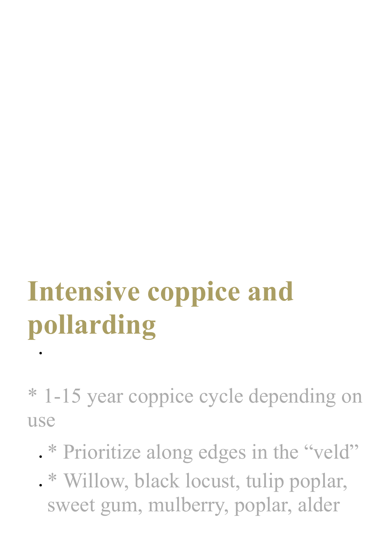# **Intensive coppice and pollarding**

\* 1-15 year coppice cycle depending on use

. \* Prioritize along edges in the "veld" \* Willow, black locust, tulip poplar, sweet gum, mulberry, poplar, alder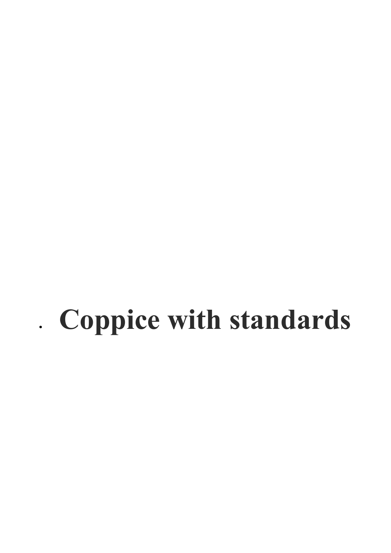## **Coppice with standards**

 $\ddot{\phantom{0}}$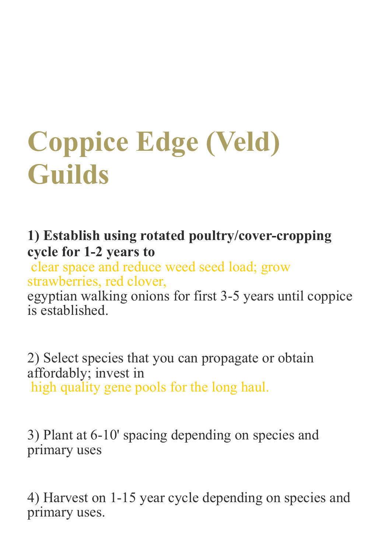## **Coppice Edge (Veld) Guilds**

**1) Establish using rotated poultry/cover-cropping cycle for 1-2 years to**

clear space and reduce weed seed load; grow strawberries, red clover,

egyptian walking onions for first 3-5 years until coppice is established.

2) Select species that you can propagate or obtain affordably; invest in high quality gene pools for the long haul.

3) Plant at 6-10' spacing depending on species and primary uses

4) Harvest on 1-15 year cycle depending on species and primary uses.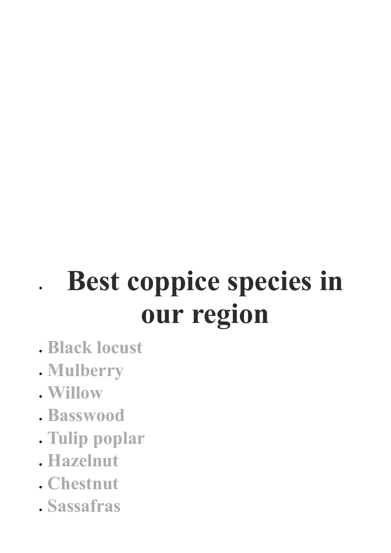# **Best coppice species in our region**

- **Black locust**
- **Mulberry**
- **Willow**
- **Basswood**
- **Tulip poplar**
- **Hazelnut**
- **Chestnut**
- **Sassafras**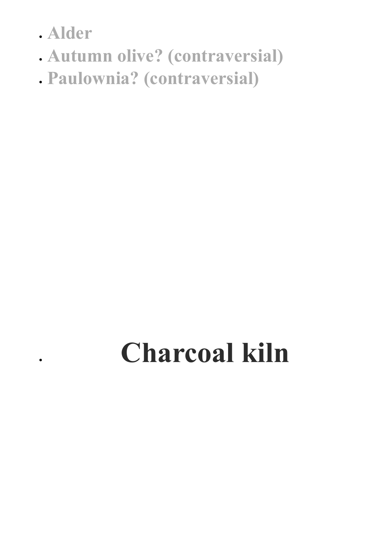**Alder**

 $\bullet$ 

- **Autumn olive? (contraversial)**
- **Paulownia? (contraversial)**

## **Charcoal kiln**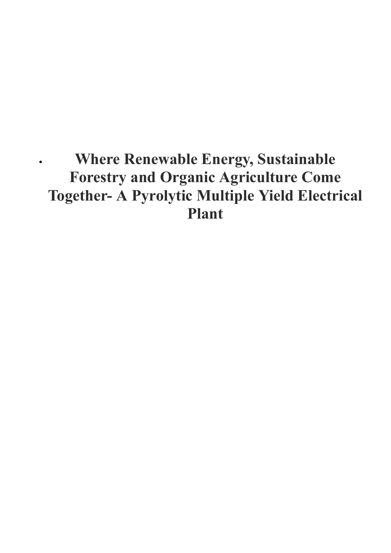#### **Where Renewable Energy, Sustainable Forestry and Organic Agriculture Come Together- A Pyrolytic Multiple Yield Electrical Plant**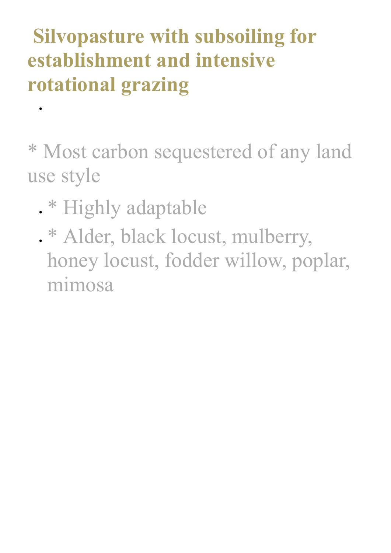#### **Silvopasture with subsoiling for establishment and intensive rotational grazing**

\* Most carbon sequestered of any land use style

- . *\** Highly adaptable
- \* Alder, black locust, mulberry, honey locust, fodder willow, poplar, mimosa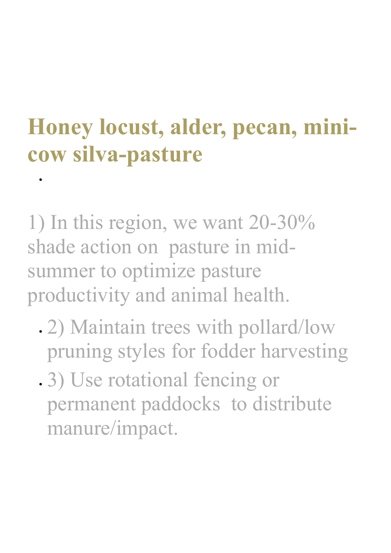#### **Honey locust, alder, pecan, minicow silva-pasture**

1) In this region, we want 20-30% shade action on pasture in midsummer to optimize pasture productivity and animal health.

- 2) Maintain trees with pollard/low pruning styles for fodder harvesting
- 3) Use rotational fencing or permanent paddocks to distribute manure/impact.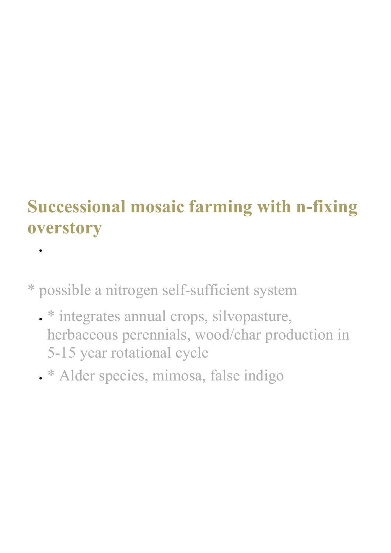#### **Successional mosaic farming with n-fixing overstory**

\* possible a nitrogen self-sufficient system

- . \* integrates annual crops, silvopasture, herbaceous perennials, wood/char production in 5-15 year rotational cycle
- . \* Alder species, mimosa, false indigo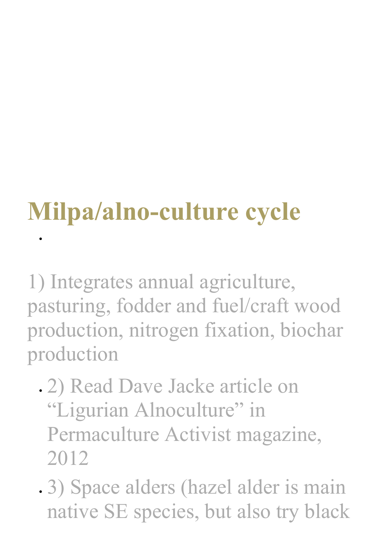## **Milpa/alno-culture cycle**

1) Integrates annual agriculture, pasturing, fodder and fuel/craft wood production, nitrogen fixation, biochar production

- 2) Read Dave Jacke article on "Ligurian Alnoculture" in Permaculture Activist magazine, 2012
- 3) Space alders (hazel alder is main native SE species, but also try black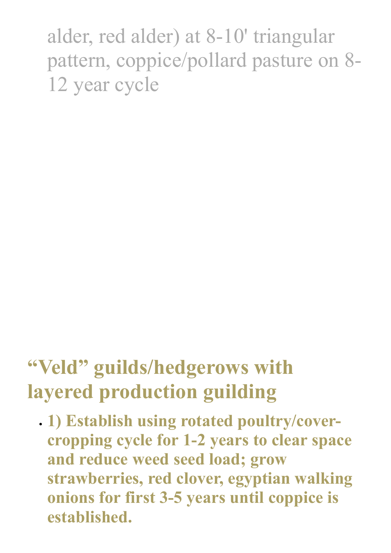alder, red alder) at 8-10' triangular pattern, coppice/pollard pasture on 8- 12 year cycle

#### **"Veld" guilds/hedgerows with layered production guilding**

**1) Establish using rotated poultry/covercropping cycle for 1-2 years to clear space and reduce weed seed load; grow strawberries, red clover, egyptian walking onions for first 3-5 years until coppice is established.**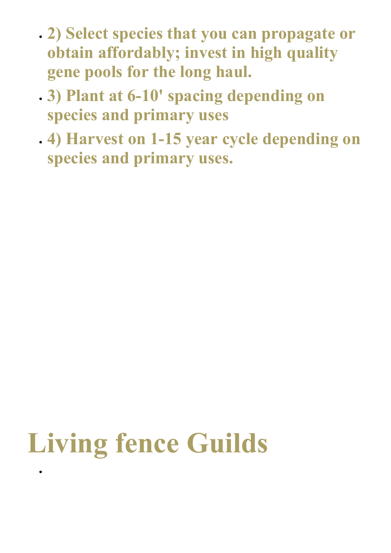**2) Select species that you can propagate or obtain affordably; invest in high quality gene pools for the long haul.**

- **3) Plant at 6-10' spacing depending on species and primary uses**
- **4) Harvest on 1-15 year cycle depending on species and primary uses.**

## **Living fence Guilds**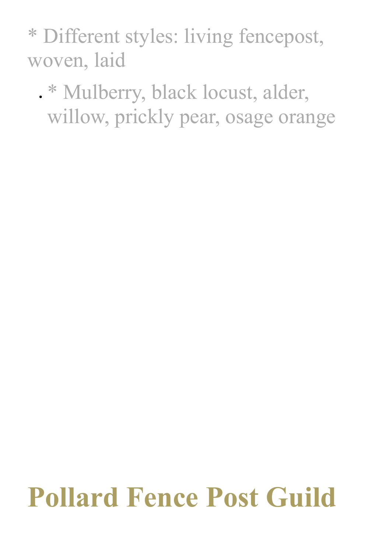\* Different styles: living fencepost, woven, laid

. \* Mulberry, black locust, alder, willow, prickly pear, osage orange

## **Pollard Fence Post Guild**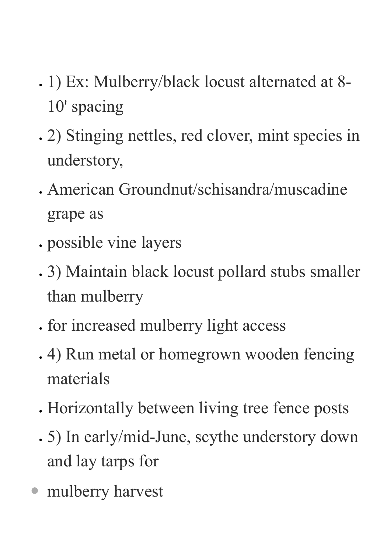- 1) Ex: Mulberry/black locust alternated at 8- 10' spacing
- 2) Stinging nettles, red clover, mint species in understory,
- American Groundnut/schisandra/muscadine grape as
- possible vine layers
- 3) Maintain black locust pollard stubs smaller than mulberry
- . for increased mulberry light access
- 4) Run metal or homegrown wooden fencing materials
- Horizontally between living tree fence posts
- 5) In early/mid-June, scythe understory down and lay tarps for
- mulberry harvest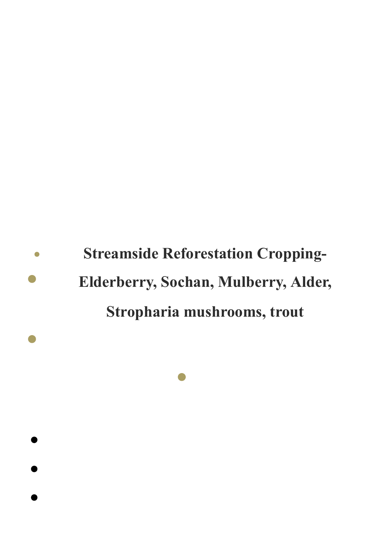**Streamside Reforestation Cropping-** $\bullet$ **Elderberry, Sochan, Mulberry, Alder, Stropharia mushrooms, trout**

 $\blacksquare$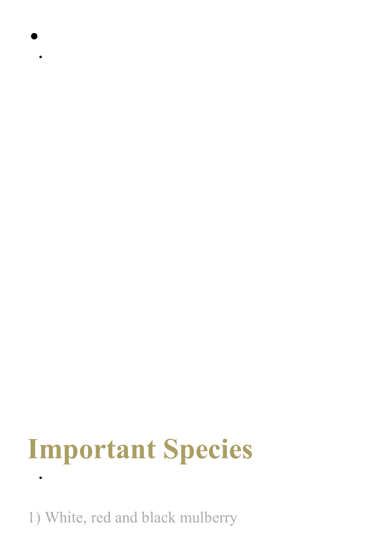## **Important Species**

1) White, red and black mulberry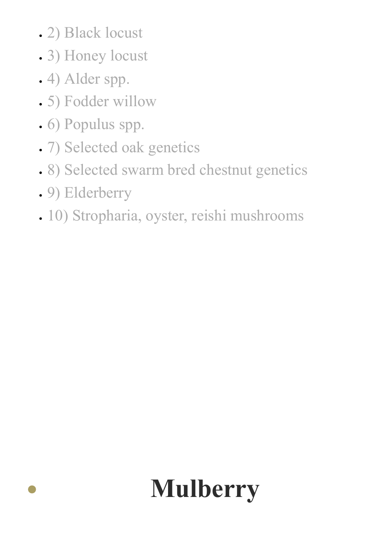- 2) Black locust
- 3) Honey locust
- 4) Alder spp.
- 5) Fodder willow
- 6) Populus spp.
- 7) Selected oak genetics
- 8) Selected swarm bred chestnut genetics
- 9) Elderberry
- 10) Stropharia, oyster, reishi mushrooms



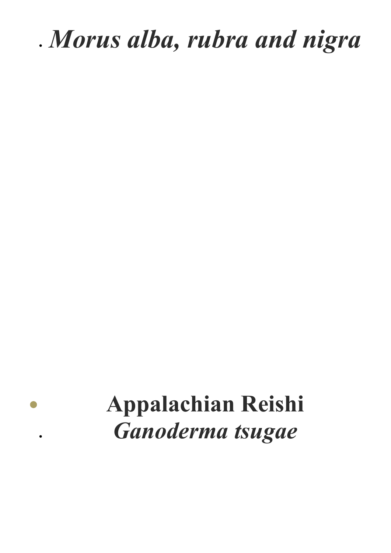#### *Morus alba, rubra and nigra*

#### **Appalachian Reishi** *Ganoderma tsugae*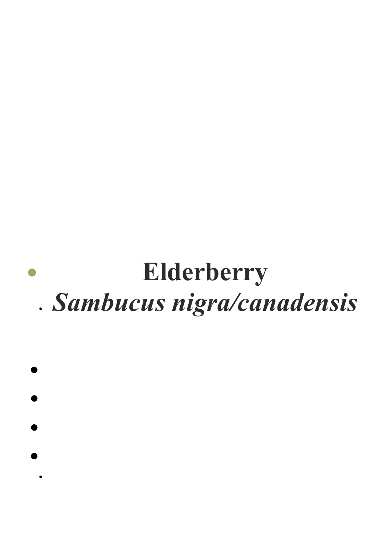#### **Elderberry**  $\bullet$ *Sambucus nigra/canadensis*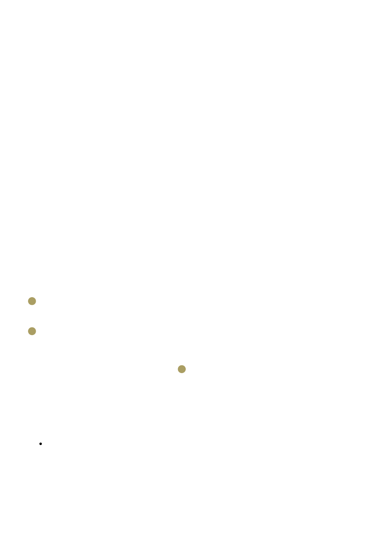$\blacksquare$  $\bullet$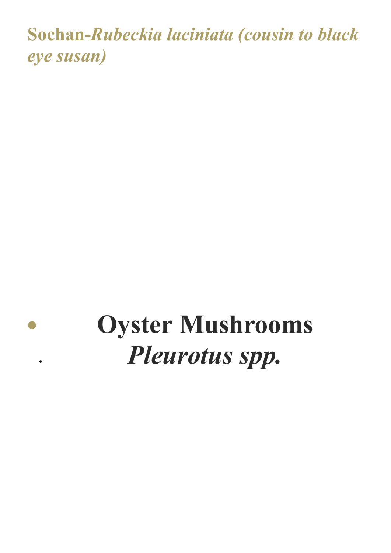**Sochan-***Rubeckia laciniata (cousin to black eye susan)*

#### **Oyster Mushrooms** *Pleurotus spp.* $\bullet$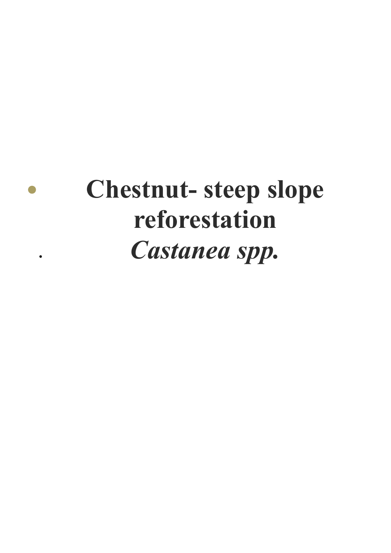#### **Chestnut- steep slope reforestation** *Castanea spp.* $\bullet$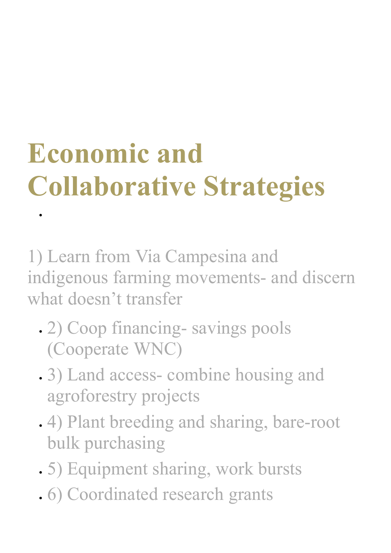# **Economic and Collaborative Strategies**

1) Learn from Via Campesina and indigenous farming movements- and discern what doesn't transfer

- 2) Coop financing- savings pools (Cooperate WNC)
- 3) Land access- combine housing and agroforestry projects
- 4) Plant breeding and sharing, bare-root bulk purchasing
- 5) Equipment sharing, work bursts
- 6) Coordinated research grants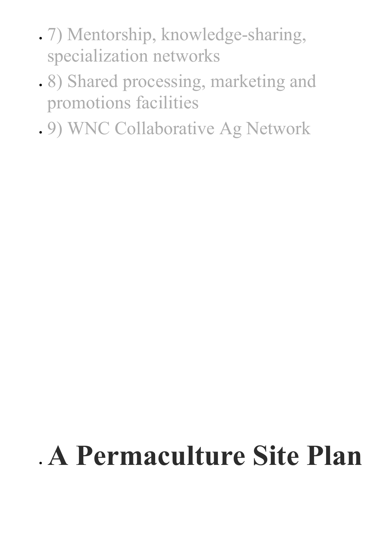- 7) Mentorship, knowledge-sharing, specialization networks
- 8) Shared processing, marketing and promotions facilities
- 9) WNC Collaborative Ag Network

# **A Permaculture Site Plan**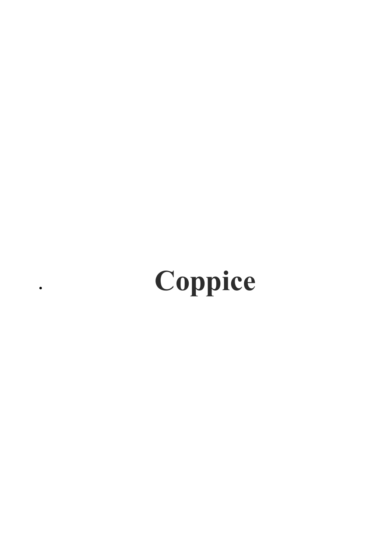# **Coppice**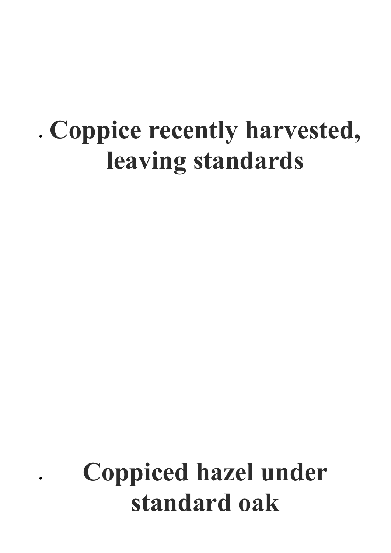#### **Coppice recently harvested, leaving standards**

**Coppiced hazel under standard oak**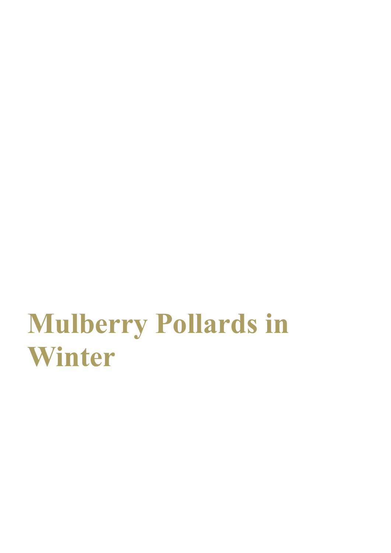### **Mulberry Pollards in Winter**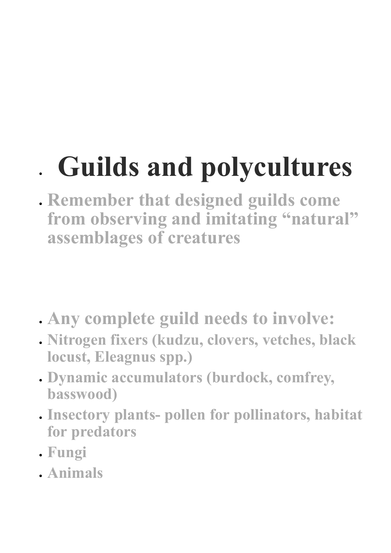# **Guilds and polycultures**

**Remember that designed guilds come from observing and imitating "natural" assemblages of creatures**

- **Any complete guild needs to involve:**
- **Nitrogen fixers (kudzu, clovers, vetches, black locust, Eleagnus spp.)**
- **Dynamic accumulators (burdock, comfrey, basswood)**
- **Insectory plants- pollen for pollinators, habitat for predators**
- **Fungi**
- **Animals**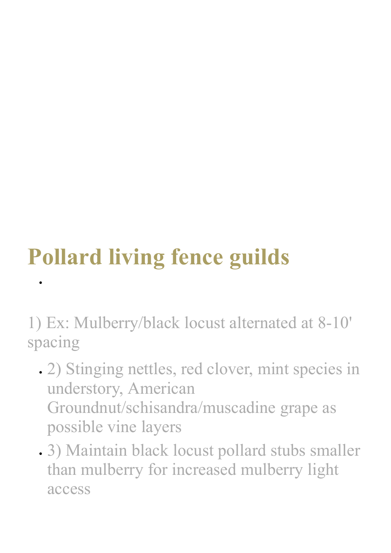### **Pollard living fence guilds**

1) Ex: Mulberry/black locust alternated at 8-10' spacing

- 2) Stinging nettles, red clover, mint species in understory, American Groundnut/schisandra/muscadine grape as possible vine layers
- 3) Maintain black locust pollard stubs smaller than mulberry for increased mulberry light access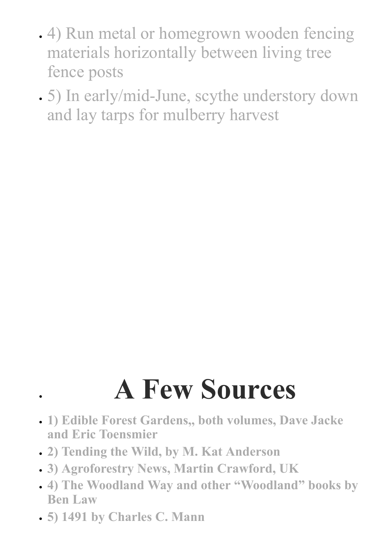- 4) Run metal or homegrown wooden fencing materials horizontally between living tree fence posts
- 5) In early/mid-June, scythe understory down and lay tarps for mulberry harvest

# **A Few Sources**

- **1) Edible Forest Gardens,, both volumes, Dave Jacke and Eric Toensmier**
- **2) Tending the Wild, by M. Kat Anderson**
- **3) Agroforestry News, Martin Crawford, UK**
- **4) The Woodland Way and other "Woodland" books by Ben Law**
- **5) 1491 by Charles C. Mann**